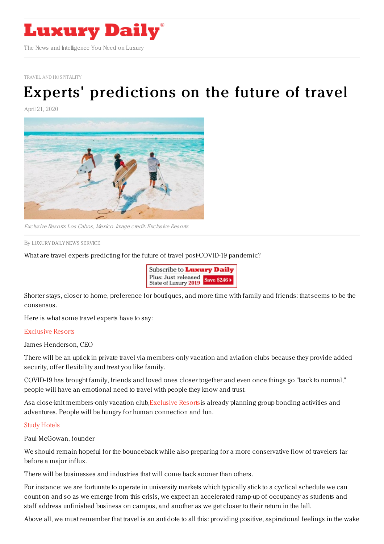

TRAVEL AND [HOSPITALITY](https://www.luxurydaily.com/category/sectors/travel-and-hospitality/)

# Experts' [predictions](https://www.luxurydaily.com/experts-predictions-for-the-future-of-travel/) on the future of travel

April 21, 2020



Exclusive Resorts Los Cabos, Mexico. Image credit: Exclusive Resorts

By LUXURY DAILY NEWS [SERVICE](file:///author/luxury-daily-news-service)

What are travel experts predicting for the future of travel post-COVID-19 pandemic?

| Subscribe to <b>Luxury Daily</b>                       |  |
|--------------------------------------------------------|--|
| Plus: Just released<br>State of Luxury 2019 Save \$246 |  |

Shorter stays, closer to home, preference for boutiques, and more time with family and friends: that seems to be the consensus.

Here is what some travel experts have to say:

#### [Exclusive](http://www.exclusiveresorts.com/) Resorts

James Henderson, CEO

There will be an uptick in private travel via members-only vacation and aviation clubs because they provide added security, offer flexibility and treat you like family.

COVID-19 has brought family, friends and loved ones closer together and even once things go "back to normal," people will have an emotional need to travel with people they know and trust.

Asa close-knit members-only vacation club[,Exclusive](http://www.exclusiveresorts.com/) Resortsis already planning group bonding activities and adventures. People will be hungry for human connection and fun.

#### Study [Hotels](https://www.studyhotels.com/)

Paul McGowan, founder

We should remain hopeful for the bounceback while also preparing for a more conservative flow of travelers far before a major influx.

There will be businesses and industries that will come back sooner than others.

For instance: we are fortunate to operate in university markets which typically stick to a cyclical schedule we can count on and so as we emerge from this crisis, we expect an accelerated ramp-up of occupancy as students and staff address unfinished business on campus, and another as we get closer to their return in the fall.

Above all, we must remember that travel is an antidote to all this: providing positive, aspirational feelings in the wake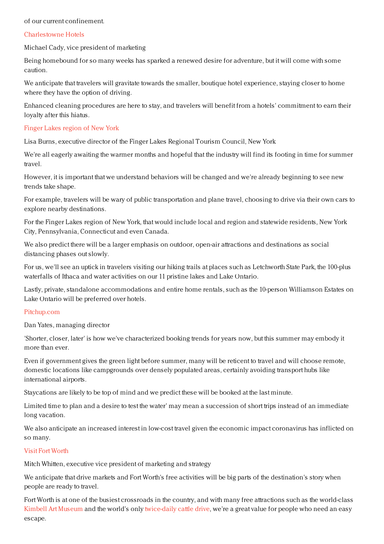#### of our current confinement.

#### [Charlestowne](http://www.charlestownehotels.com/) Hotels

Michael Cady, vice president of marketing

Being homebound for so many weeks has sparked a renewed desire for adventure, but it will come with some caution.

We anticipate that travelers will gravitate towards the smaller, boutique hotel experience, staying closer to home where they have the option of driving.

Enhanced cleaning procedures are here to stay, and travelers will benefit from a hotels' commitment to earn their loyalty after this hiatus.

#### Finger Lakes [region](https://www.fingerlakestravelny.com/) of New York

Lisa Burns, executive director of the Finger Lakes Regional Tourism Council, New York

We're all eagerly awaiting the warmer months and hopeful that the industry will find its footing in time for summer travel.

However, it is important that we understand behaviors will be changed and we're already beginning to see new trends take shape.

For example, travelers will be wary of public transportation and plane travel, choosing to drive via their own cars to explore nearby destinations.

For the Finger Lakes region of New York, that would include local and region and statewide residents, New York City, Pennsylvania, Connecticut and even Canada.

We also predict there will be a larger emphasis on outdoor, open-air attractions and destinations as social distancing phases out slowly.

For us, we'll see an uptick in travelers visiting our hiking trails at places such as Letchworth State Park, the 100-plus waterfalls of Ithaca and water activities on our 11 pristine lakes and Lake Ontario.

Lastly, private, standalone accommodations and entire home rentals, such as the 10-person Williamson Estates on Lake Ontario will be preferred over hotels.

#### [Pitchup.com](http://www.pitchup.com/en-us)

Dan Yates, managing director

'Shorter, closer, later' is how we've characterized booking trends for years now, but this summer may embody it more than ever.

Even if government gives the green light before summer, many will be reticent to travel and will choose remote, domestic locations like campgrounds over densely populated areas, certainly avoiding transport hubs like international airports.

Staycations are likely to be top of mind and we predict these will be booked at the last minute.

Limited time to plan and a desire to test the water' may mean a succession of short trips instead of an immediate long vacation.

We also anticipate an increased interest in low-cost travel given the economic impact coronavirus has inflicted on so many.

#### Visit Fort [Worth](http://www.fortworth.com/)

Mitch Whitten, executive vice president of marketing and strategy

We anticipate that drive markets and Fort Worth's free activities will be big parts of the destination's story when people are ready to travel.

Fort Worth is at one of the busiest crossroads in the country, and with many free attractions such as the world-class Kimbell Art [Museum](https://www.kimbellart.org/) and the world's only [twice-daily](https://www.fortworth.com/the-herd/) cattle drive, we're a great value for people who need an easy escape.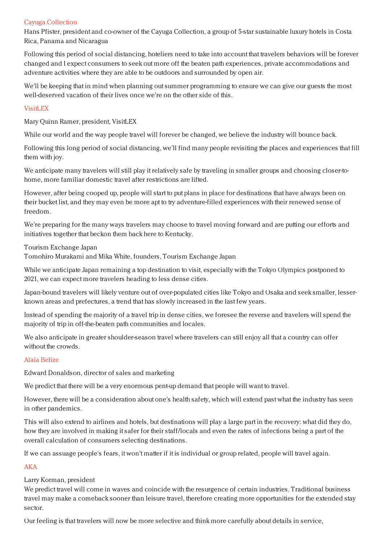## Cayuga [Collection](https://www.cayugacollection.com/)

Hans Pfister, president and co-owner of the Cayuga Collection, a group of 5-star sustainable luxury hotels in Costa Rica, Panama and Nicaragua

Following this period of social distancing, hoteliers need to take into account that travelers behaviors will be forever changed and I expect consumers to seek out more off the beaten path experiences, private accommodations and adventure activities where they are able to be outdoors and surrounded by open air.

We'll be keeping that in mind when planning out summer programming to ensure we can give our guests the most well-deserved vacation of their lives once we're on the other side of this.

## [VisitLEX](https://www.visitlex.com/)

Mary Quinn Ramer, president, VisitLEX

While our world and the way people travel will forever be changed, we believe the industry will bounce back.

Following this long period of social distancing, we'll find many people revisiting the places and experiences that fill them with joy.

We anticipate many travelers will still play it relatively safe by traveling in smaller groups and choosing closer-tohome, more familiar domestic travel after restrictions are lifted.

However, after being cooped up, people will start to put plans in place for destinations that have always been on their bucket list, and they may even be more apt to try adventure-filled experiences with their renewed sense of freedom.

We're preparing for the many ways travelers may choose to travel moving forward and are putting our efforts and initiatives together that beckon them back here to Kentucky.

Tourism Exchange Japan

Tomohiro Murakami and Mika White, founders, Tourism Exchange Japan

While we anticipate Japan remaining a top destination to visit, especially with the Tokyo Olympics postponed to 2021, we can expect more travelers heading to less dense cities.

Japan-bound travelers will likely venture out of over-populated cities like Tokyo and Osaka and seek smaller, lesserknown areas and prefectures, a trend that has slowly increased in the last few years.

Instead of spending the majority of a travel trip in dense cities, we foresee the reverse and travelers will spend the majority of trip in off-the-beaten path communities and locales.

We also anticipate in greater shoulder-season travel where travelers can still enjoy all that a country can offer without the crowds.

# Alaia [Belize](https://alaiabelize.com/)

Edward Donaldson, director of sales and marketing

We predict that there will be a very enormous pent-up demand that people will want to travel.

However, there will be a consideration about one's health safety, which will extend past what the industry has seen in other pandemics.

This will also extend to airlines and hotels, but destinations will play a large part in the recovery: what did they do, how they are involved in making it safer for their staff/locals and even the rates of infections being a part of the overall calculation of consumers selecting destinations.

If we can assuage people's fears, it won't matter if it is individual or group related, people will travel again.

# [AKA](http://www.stayaka.com/)

Larry Korman, president

We predict travel will come in waves and coincide with the resurgence of certain industries. Traditional business travel may make a comeback sooner than leisure travel, therefore creating more opportunities for the extended stay sector.

Our feeling is that travelers will now be more selective and think more carefully about details in service,